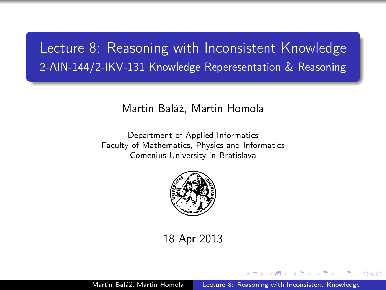# Lecture 8: Reasoning with Inconsistent Knowledge 2-AIN-144/2-IKV-131 Knowledge Reperesentation & Reasoning

#### Martin Baláž, Martin Homola

Department of Applied Informatics Faculty of Mathematics, Physics and Informatics Comenius University in Bratislava



18 Apr 2013

<span id="page-0-0"></span>つくへ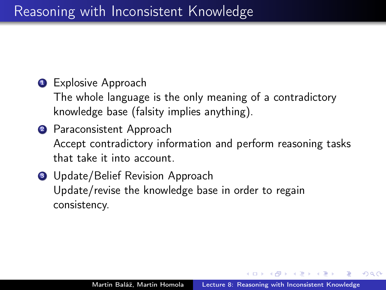## **1** Explosive Approach

The whole language is the only meaning of a contradictory knowledge base (falsity implies anything).

- <sup>2</sup> Paraconsistent Approach Accept contradictory information and perform reasoning tasks that take it into account.
- **3** Update/Belief Revision Approach Update/revise the knowledge base in order to regain consistency.

つくい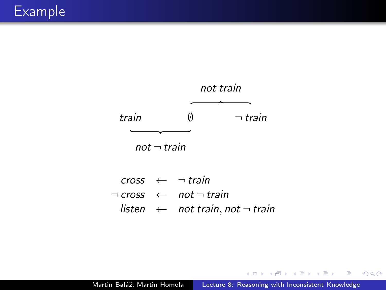

 $\csc \leftarrow \neg \text{train}$  $\neg \textit{cross} \leftarrow \textit{not} \neg \textit{train}$  $\mathsf{listen} \leftarrow \mathsf{not train}, \mathsf{not} \neg \mathsf{train}$ 

4 0 8

Þ

∢ 何 ▶ → ヨ ▶ → ヨ ▶ →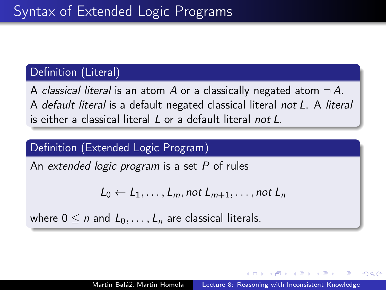### Definition (Literal)

A classical literal is an atom A or a classically negated atom  $\neg A$ . A default literal is a default negated classical literal not L. A literal is either a classical literal L or a default literal not L.

### Definition (Extended Logic Program)

An extended logic program is a set P of rules

$$
L_0 \leftarrow L_1, \ldots, L_m, not \ L_{m+1}, \ldots, not \ L_n
$$

where  $0 \leq n$  and  $L_0, \ldots, L_n$  are classical literals.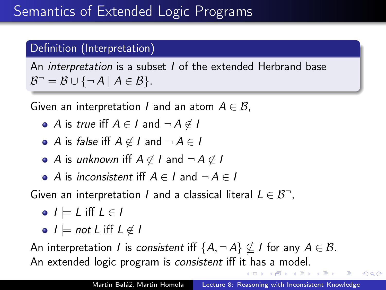## Definition (Interpretation)

An *interpretation* is a subset *I* of the extended Herbrand base  $\mathcal{B}^- = \mathcal{B} \cup \{\neg A \mid A \in \mathcal{B}\}.$ 

Given an interpretation I and an atom  $A \in \mathcal{B}$ ,

- $\bullet$  A is true iff  $A \in I$  and  $\neg A \notin I$
- A is false iff  $A \notin I$  and  $\neg A \in I$
- A is unknown iff  $A \notin I$  and  $\neg A \notin I$
- A is inconsistent iff  $A \in I$  and  $\neg A \in I$

Given an interpretation *I* and a classical literal  $L \in \mathcal{B}^{-}$ ,

 $\bullet$   $I \models L$  iff  $L \in I$ 

 $\bullet$   $I \models not L$  iff  $L \notin I$ 

An interpretation *I* is consistent iff  $\{A, \neg A\} \nsubseteq I$  for any  $A \in \mathcal{B}$ . An extended logic program is consistent iff it has a model.

 $QQ$ 

性

医阿里氏阿里氏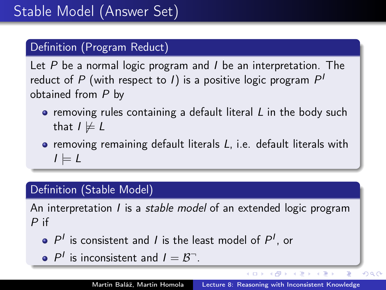## Definition (Program Reduct)

Let  $P$  be a normal logic program and  $I$  be an interpretation. The reduct of  $P$  (with respect to 1) is a positive logic program  $P^1$ obtained from P by

- $\bullet$  removing rules containing a default literal  $L$  in the body such that  $I \not\models L$
- **•** removing remaining default literals L, i.e. default literals with  $I \models L$

## Definition (Stable Model)

An interpretation *I* is a *stable model* of an extended logic program P if

- $P<sup>I</sup>$  is consistent and *I* is the least model of  $P<sup>I</sup>$ , or
- $P^I$  is inconsistent and  $I = B^-$ .

イロメ イ母メ イヨメ イヨメ

Ξ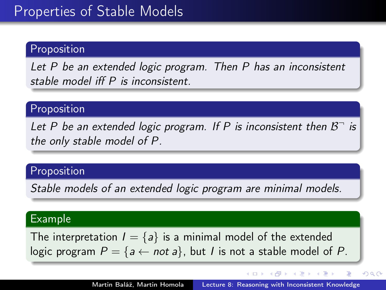### Proposition

Let P be an extended logic program. Then P has an inconsistent stable model iff P is inconsistent.

### Proposition

Let P be an extended logic program. If P is inconsistent then  $\mathcal{B}^-$  is the only stable model of P.

#### Proposition

Stable models of an extended logic program are minimal models.

#### Example

The interpretation  $I = \{a\}$  is a minimal model of the extended logic program  $P = \{a \leftarrow not a\}$ , but *I* is not a stable model of *P*.

- イ伊 ト イヨ ト イヨ ト

 $QQ$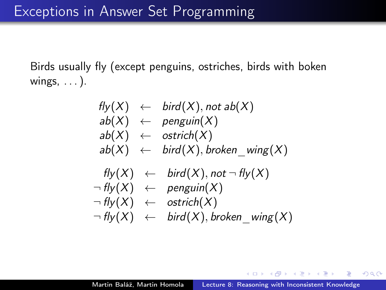Birds usually fly (except penguins, ostriches, birds with boken wings, . . . ).

fly(X) ← bird(X), not ab(X) ab(X) ← penguin(X) ab(X) ← ostrich(X) ab(X) ← bird(X), broken\_wing(X) fly(X) ← bird(X), not ¬ fly(X) ¬ fly(X) ← penguin(X) ¬ fly(X) ← ostrich(X) ¬ fly(X) ← bird(X), broken\_wing(X)

 $QQ$ 

医毛囊 医牙骨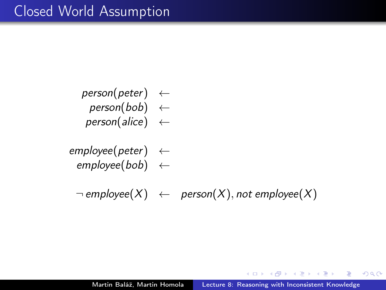- $person(peter) \leftarrow$  $person(bob) \leftarrow$ 
	- $person(alice) \leftarrow$
- $employee(peter) \leftarrow$  $emplovee(bob) \leftarrow$

 $\neg$  employee(X)  $\leftarrow$  person(X), not employee(X)

 $\eta$ an

∍

∢ 何 ≯ → ( ヨ ≯ → ( ヨ ≯ →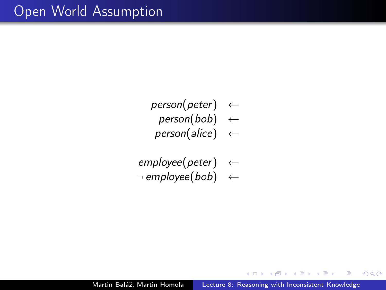- $person(peter) \leftarrow$ 
	- $person(bob) \leftarrow$
- $person(alice) \leftarrow$
- $emplyee(peter) \leftarrow$
- $\neg$  employee(bob)  $\leftarrow$

 $-10<sup>-10</sup>$ 

| 何 ▶ → ヨ ▶ → ヨ ▶ →

 $299$ 

э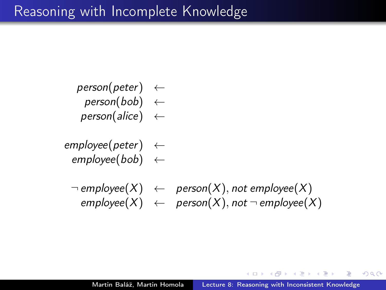- $person(peter) \leftarrow$ 
	- $person(bob) \leftarrow$
- $person(alice) \leftarrow$
- $employee(peter) \leftarrow$  $emplovee(bob) \leftarrow$ 
	- $\neg$  employee $(X) \leftarrow$  person $(X)$ , not employee $(X)$  $emplovee(X) \leftarrow person(X)$ , not  $\neg$  employee $(X)$

 $2990$ 

∢ 何 ≯ → ( ヨ ≯ → ( ヨ ≯ →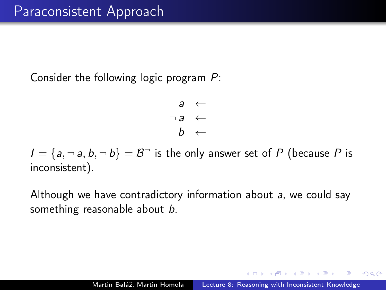Consider the following logic program P:

$$
\begin{array}{rcl} a & \leftarrow & \\ \neg a & \leftarrow & \\ b & \leftarrow & \end{array}
$$

 $I = \{a, \neg a, b, \neg b\} = \mathcal{B}$  is the only answer set of P (because P is inconsistent).

Although we have contradictory information about a, we could say something reasonable about b.

つくい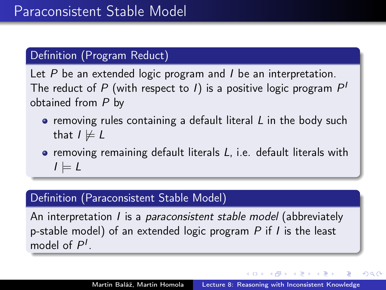### Definition (Program Reduct)

Let  $P$  be an extended logic program and  $I$  be an interpretation. The reduct of  $P$  (with respect to 1) is a positive logic program  $P^{\prime}$ obtained from P by

- removing rules containing a default literal L in the body such that  $I \not\models L$
- removing remaining default literals L, i.e. default literals with  $I \models L$

### Definition (Paraconsistent Stable Model)

An interpretation *I* is a *paraconsistent stable model* (abbreviately p-stable model) of an extended logic program  $P$  if  $I$  is the least model of  $P<sup>1</sup>$ .

 $\left\langle \left\langle \left\langle \left\langle \left\langle \mathcal{H} \right\rangle \right\rangle \right\rangle \right\rangle \right\rangle +\left\langle \left\langle \left\langle \mathcal{H} \right\rangle \right\rangle \right\rangle \right\rangle +\left\langle \left\langle \left\langle \left\langle \mathcal{H} \right\rangle \right\rangle \right\rangle \right\rangle +\left\langle \left\langle \left\langle \mathcal{H} \right\rangle \right\rangle \right\rangle \right)$ 

つくい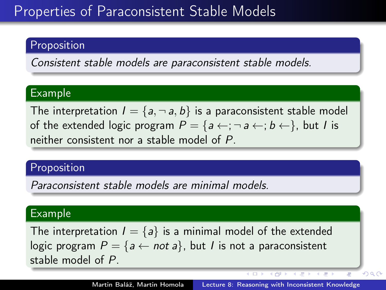# Properties of Paraconsistent Stable Models

### Proposition

Consistent stable models are paraconsistent stable models.

### Example

The interpretation  $I = \{a, \neg a, b\}$  is a paraconsistent stable model of the extended logic program  $P = \{a \leftarrow; \neg a \leftarrow; b \leftarrow\}$ , but *I* is neither consistent nor a stable model of P.

### Proposition

Paraconsistent stable models are minimal models.

#### Example

The interpretation  $I = \{a\}$  is a minimal model of the extended logic program  $P = \{a \leftarrow not a\}$ , but *I* is not a paraconsistent stable model of P.

4 向 ト

 $QQ$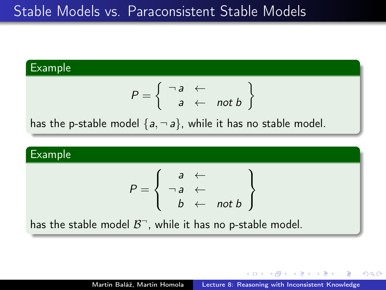# Stable Models vs. Paraconsistent Stable Models

## Example  $P = \begin{cases} \n\begin{array}{ccc} \n\begin{array}{ccc} \n\end{array} & \leftarrow \\ \n\end{cases} \n\end{cases}$  $a \leftarrow \textit{not } b$  $\mathcal{L}$ has the p-stable model  $\{a, \neg a\}$ , while it has no stable model.

#### Example

$$
P = \left\{ \begin{array}{rcl} a & \leftarrow & \\ \neg \, a & \leftarrow & \\ b & \leftarrow & \mathit{not} \, b \end{array} \right\}
$$

has the stable model  $\mathcal{B}^{\neg}$ , while it has no p-stable model.

- 何 ▶ → ヨ ▶ → ヨ ▶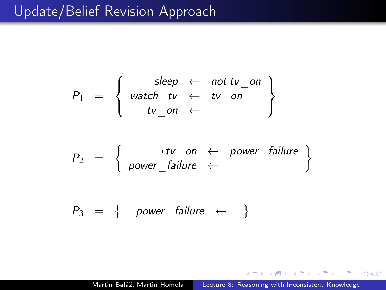# Update/Belief Revision Approach

$$
P_1 = \left\{\begin{array}{rcl} sleep & \leftarrow & not \, tv\_on \\ watch\_tv & \leftarrow & tv\_on \\ tv\_on & \leftarrow & \end{array}\right\}
$$

$$
P_2 = \left\{ \begin{array}{ccc} \neg \text{ tv\_on} & \leftarrow & \text{power\_failure} \\ \text{power\_failure} & \leftarrow & \end{array} \right\}
$$

$$
P_3 = \{ \neg power\_failure \leftarrow \}
$$

 $\overline{a}$ 

おうす 国内

э

×

э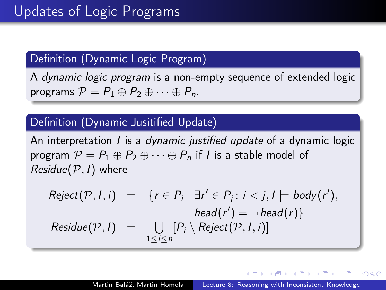### Definition (Dynamic Logic Program)

A dynamic logic program is a non-empty sequence of extended logic programs  $\mathcal{P} = P_1 \oplus P_2 \oplus \cdots \oplus P_n$ .

### Definition (Dynamic Jusitified Update)

An interpretation *I* is a *dynamic justified update* of a dynamic logic program  $P = P_1 \oplus P_2 \oplus \cdots \oplus P_n$  if I is a stable model of  $Residue(\mathcal{P}, I)$  where

$$
Reject(P, I, i) = \{r \in P_i \mid \exists r' \in P_j : i < j, l \models body(r'),
$$
  
\n
$$
head(r') = \neg head(r)\}
$$
  
\n
$$
Residue(P, I) = \bigcup_{1 \le i \le n} [P_i \setminus Reject(P, I, i)]
$$

- 何 ▶ → ヨ ▶ → モ ▶ →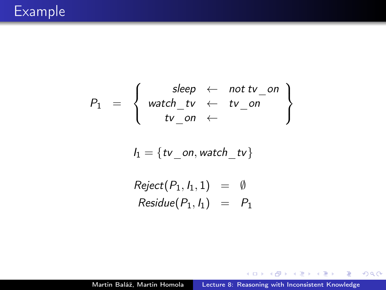$$
P_1 = \left\{\begin{array}{rcl} sleep & \leftarrow & not\, tv\_on \\ watch\_tv & \leftarrow & tv\_on \\ tv\_on & \leftarrow & \end{array}\right\}
$$

$$
\mathit{l}_1 = \{ \mathit{tv\_on}, \mathit{watch\_tv} \}
$$

$$
Reject(P_1, I_1, 1) = \emptyset
$$
  

$$
Residue(P_1, I_1) = P_1
$$

K ロ K K 御 K K 君 K K 君

目

 $\,$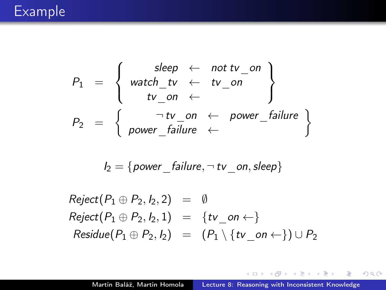# Example

$$
P_1 = \left\{\n\begin{array}{rcl}\n\text{sleep} & \leftarrow & \text{not } \text{tv\_on} \\
\text{watch\_tv} & \leftarrow & \text{tv\_on} \\
\text{tv\_on} & \leftarrow & \text{power\_failure} \\
\end{array}\n\right\}
$$
\n
$$
P_2 = \left\{\n\begin{array}{rcl}\n\neg \text{tv\_on} & \leftarrow & \text{power\_failure} \\
\text{power\_failure} & \leftarrow & \text{f} \\
\end{array}\n\right\}
$$

$$
\textit{l}_2 = \{power\_failure, \neg\, tv\_on, sleep\}
$$

 $Reject(P_1 \oplus P_2, I_2, 2) = \emptyset$  $Reject(P_1 \oplus P_2, I_2, 1) = \{tv \text{ on } \leftarrow\}$  $Residue(P_1 \oplus P_2, I_2) = (P_1 \setminus \{tv \text{ on } \leftarrow\}) \cup P_2$ 

KEL KALK KELKEL KARK